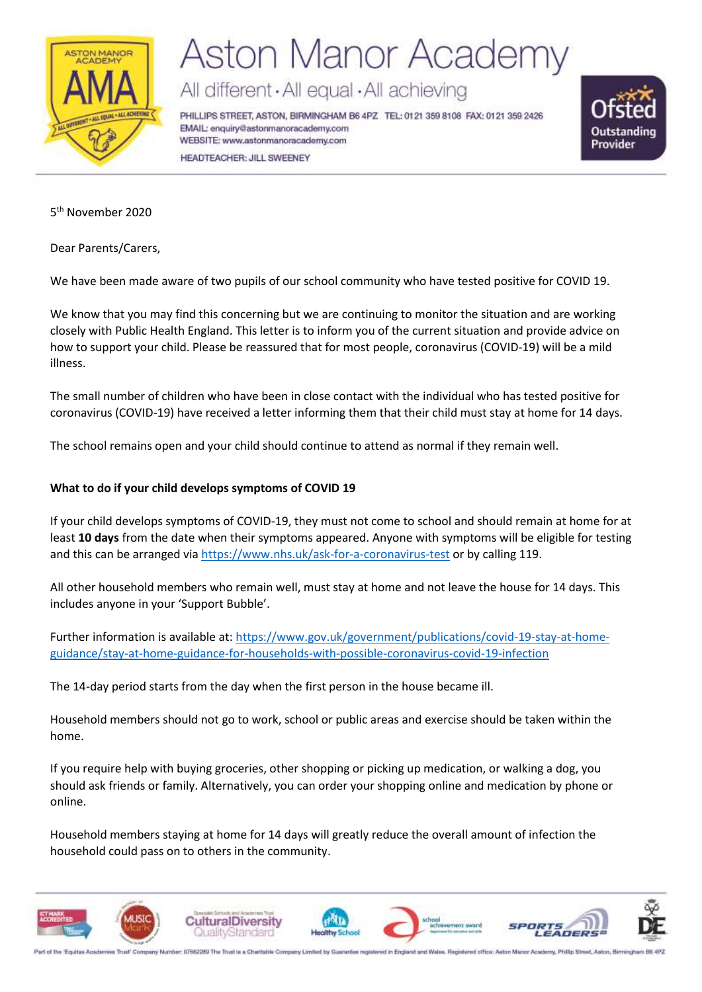

# **Aston Manor Academy**

All different · All equal · All achieving

PHILLIPS STREET, ASTON, BIRMINGHAM B6 4PZ TEL: 0121 359 8108 FAX: 0121 359 2426 EMAIL: enquiry@astonmanoracademy.com WEBSITE: www.astonmanoracademy.com HEADTEACHER: JILL SWEENEY



5 th November 2020

Dear Parents/Carers,

We have been made aware of two pupils of our school community who have tested positive for COVID 19.

We know that you may find this concerning but we are continuing to monitor the situation and are working closely with Public Health England. This letter is to inform you of the current situation and provide advice on how to support your child. Please be reassured that for most people, coronavirus (COVID-19) will be a mild illness.

The small number of children who have been in close contact with the individual who has tested positive for coronavirus (COVID-19) have received a letter informing them that their child must stay at home for 14 days.

The school remains open and your child should continue to attend as normal if they remain well.

#### **What to do if your child develops symptoms of COVID 19**

If your child develops symptoms of COVID-19, they must not come to school and should remain at home for at least **10 days** from the date when their symptoms appeared. Anyone with symptoms will be eligible for testing and this can be arranged vi[a https://www.nhs.uk/ask-for-a-coronavirus-test](https://www.nhs.uk/ask-for-a-coronavirus-test) or by calling 119.

All other household members who remain well, must stay at home and not leave the house for 14 days. This includes anyone in your 'Support Bubble'.

Further information is available at: [https://www.gov.uk/government/publications/covid-19-stay-at-home](https://www.gov.uk/government/publications/covid-19-stay-at-home-guidance/stay-at-home-guidance-for-households-with-possible-coronavirus-covid-19-infection)[guidance/stay-at-home-guidance-for-households-with-possible-coronavirus-covid-19-infection](https://www.gov.uk/government/publications/covid-19-stay-at-home-guidance/stay-at-home-guidance-for-households-with-possible-coronavirus-covid-19-infection)

The 14-day period starts from the day when the first person in the house became ill.

Household members should not go to work, school or public areas and exercise should be taken within the home.

If you require help with buying groceries, other shopping or picking up medication, or walking a dog, you should ask friends or family. Alternatively, you can order your shopping online and medication by phone or online.

Household members staying at home for 14 days will greatly reduce the overall amount of infection the household could pass on to others in the community.



Part of the 'Equitas Academies Trust' Company Number: 07662280 The Trust is a Cha d office: Aston Manor Academy, Philip Street, Aston, Beming